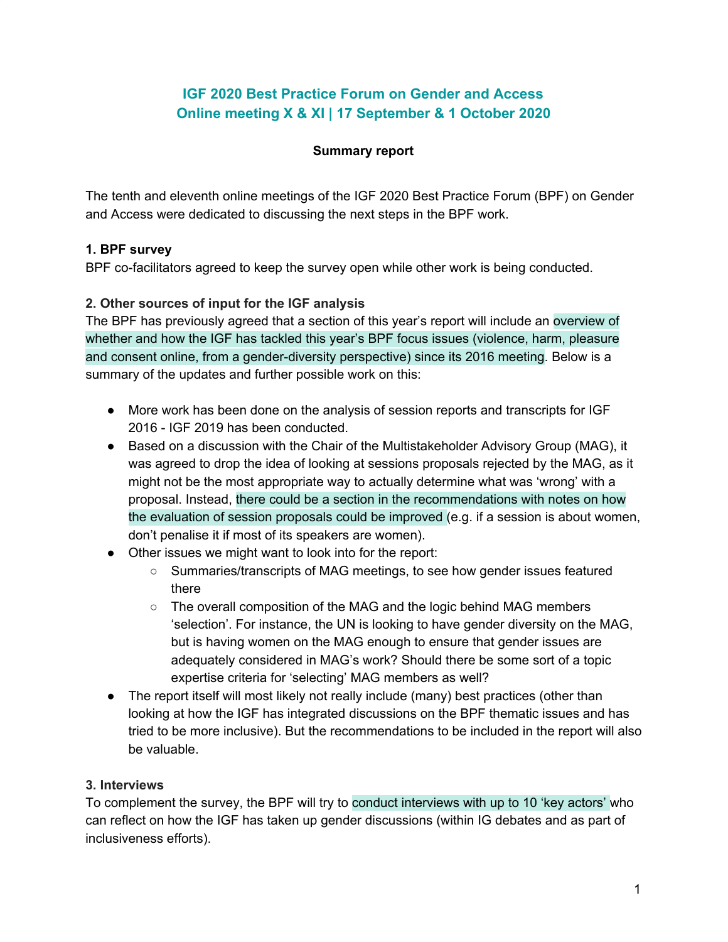# **IGF 2020 Best Practice Forum on Gender and Access Online meeting X & XI | 17 September & 1 October 2020**

### **Summary report**

The tenth and eleventh online meetings of the IGF 2020 Best Practice Forum (BPF) on Gender and Access were dedicated to discussing the next steps in the BPF work.

## **1. BPF survey**

BPF co-facilitators agreed to keep the survey open while other work is being conducted.

## **2. Other sources of input for the IGF analysis**

The BPF has previously agreed that a section of this year's report will include an overview of whether and how the IGF has tackled this year's BPF focus issues (violence, harm, pleasure and consent online, from a gender-diversity perspective) since its 2016 meeting. Below is a summary of the updates and further possible work on this:

- More work has been done on the analysis of session reports and transcripts for IGF 2016 - IGF 2019 has been conducted.
- Based on a discussion with the Chair of the Multistakeholder Advisory Group (MAG), it was agreed to drop the idea of looking at sessions proposals rejected by the MAG, as it might not be the most appropriate way to actually determine what was 'wrong' with a proposal. Instead, there could be a section in the recommendations with notes on how the evaluation of session proposals could be improved (e.g. if a session is about women, don't penalise it if most of its speakers are women).
- Other issues we might want to look into for the report:
	- Summaries/transcripts of MAG meetings, to see how gender issues featured there
	- $\circ$  The overall composition of the MAG and the logic behind MAG members 'selection'. For instance, the UN is looking to have gender diversity on the MAG, but is having women on the MAG enough to ensure that gender issues are adequately considered in MAG's work? Should there be some sort of a topic expertise criteria for 'selecting' MAG members as well?
- The report itself will most likely not really include (many) best practices (other than looking at how the IGF has integrated discussions on the BPF thematic issues and has tried to be more inclusive). But the recommendations to be included in the report will also be valuable.

### **3. Interviews**

To complement the survey, the BPF will try to conduct interviews with up to 10 'key actors' who can reflect on how the IGF has taken up gender discussions (within IG debates and as part of inclusiveness efforts).